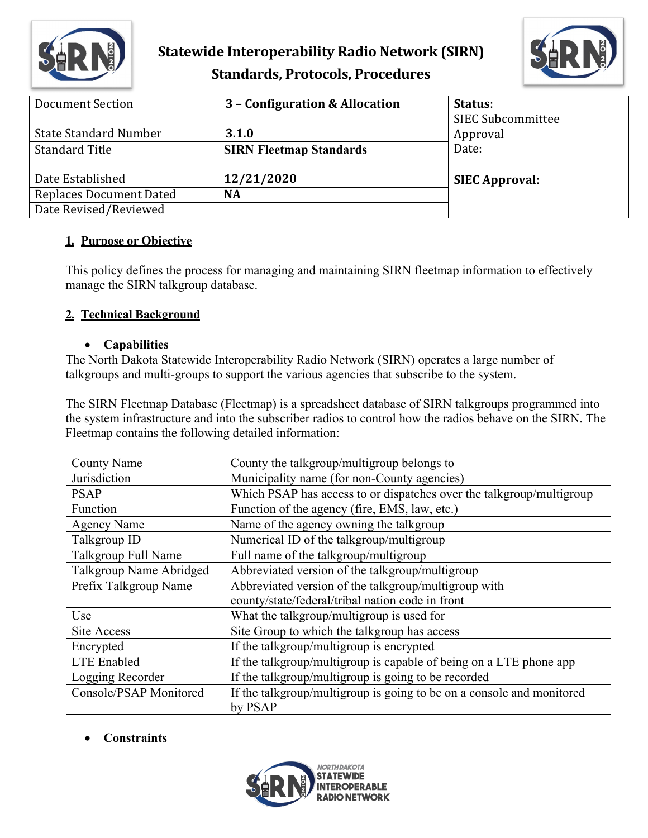

# **Statewide Interoperability Radio Network (SIRN) Standards, Protocols, Procedures**



| Document Section<br><b>State Standard Number</b><br><b>Standard Title</b>   | 3 - Configuration & Allocation<br>3.1.0<br><b>SIRN Fleetmap Standards</b> | Status:<br><b>SIEC Subcommittee</b><br>Approval<br>Date: |
|-----------------------------------------------------------------------------|---------------------------------------------------------------------------|----------------------------------------------------------|
| Date Established<br><b>Replaces Document Dated</b><br>Date Revised/Reviewed | 12/21/2020<br><b>NA</b>                                                   | <b>SIEC Approval:</b>                                    |

## **1. Purpose or Objective**

This policy defines the process for managing and maintaining SIRN fleetmap information to effectively manage the SIRN talkgroup database.

### **2. Technical Background**

#### • **Capabilities**

The North Dakota Statewide Interoperability Radio Network (SIRN) operates a large number of talkgroups and multi-groups to support the various agencies that subscribe to the system.

The SIRN Fleetmap Database (Fleetmap) is a spreadsheet database of SIRN talkgroups programmed into the system infrastructure and into the subscriber radios to control how the radios behave on the SIRN. The Fleetmap contains the following detailed information:

| <b>County Name</b>      | County the talkgroup/multigroup belongs to                            |  |
|-------------------------|-----------------------------------------------------------------------|--|
| Jurisdiction            | Municipality name (for non-County agencies)                           |  |
| <b>PSAP</b>             | Which PSAP has access to or dispatches over the talkgroup/multigroup  |  |
| Function                | Function of the agency (fire, EMS, law, etc.)                         |  |
| <b>Agency Name</b>      | Name of the agency owning the talkgroup                               |  |
| Talkgroup ID            | Numerical ID of the talkgroup/multigroup                              |  |
| Talkgroup Full Name     | Full name of the talkgroup/multigroup                                 |  |
| Talkgroup Name Abridged | Abbreviated version of the talkgroup/multigroup                       |  |
| Prefix Talkgroup Name   | Abbreviated version of the talkgroup/multigroup with                  |  |
|                         | county/state/federal/tribal nation code in front                      |  |
| Use                     | What the talkgroup/multigroup is used for                             |  |
| Site Access             | Site Group to which the talkgroup has access                          |  |
| Encrypted               | If the talkgroup/multigroup is encrypted                              |  |
| <b>LTE</b> Enabled      | If the talkgroup/multigroup is capable of being on a LTE phone app    |  |
| Logging Recorder        | If the talkgroup/multigroup is going to be recorded                   |  |
| Console/PSAP Monitored  | If the talkgroup/multigroup is going to be on a console and monitored |  |
|                         | by PSAP                                                               |  |

## • **Constraints**

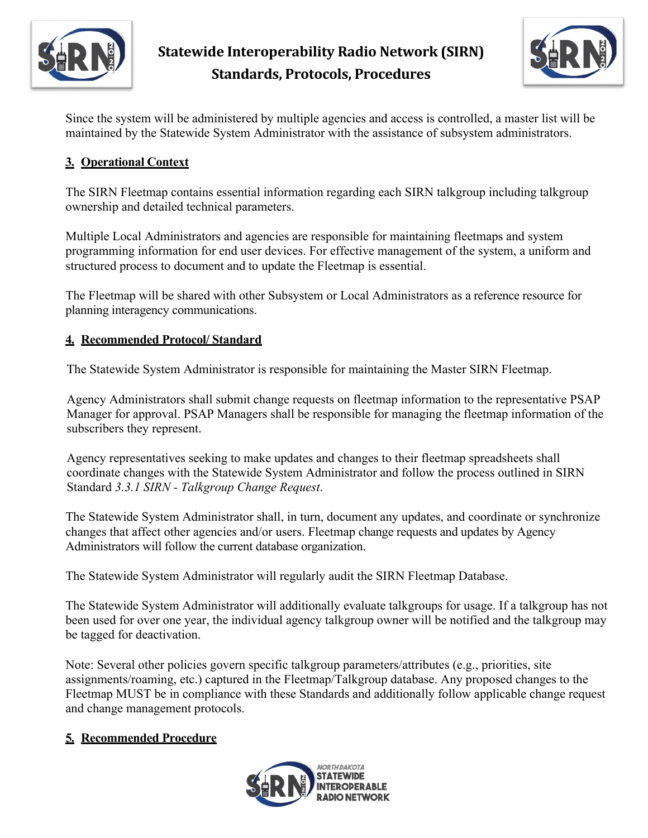



Since the system will be administered by multiple agencies and access is controlled, a master list will be maintained by the Statewide System Administrator with the assistance of subsystem administrators.

## **3. Operational Context**

The SIRN Fleetmap contains essential information regarding each SIRN talkgroup including talkgroup ownership and detailed technical parameters.

Multiple Local Administrators and agencies are responsible for maintaining fleetmaps and system programming information for end user devices. For effective management of the system, a uniform and structured process to document and to update the Fleetmap is essential.

The Fleetmap will be shared with other Subsystem or Local Administrators as a reference resource for planning interagency communications.

## **4. Recommended Protocol/ Standard**

The Statewide System Administrator is responsible for maintaining the Master SIRN Fleetmap.

Agency Administrators shall submit change requests on fleetmap information to the representative PSAP Manager for approval. PSAP Managers shall be responsible for managing the fleetmap information of the subscribers they represent.

Agency representatives seeking to make updates and changes to their fleetmap spreadsheets shall coordinate changes with the Statewide System Administrator and follow the process outlined in SIRN Standard *3.3.1 SIRN - Talkgroup Change Request*.

The Statewide System Administrator shall, in turn, document any updates, and coordinate or synchronize changes that affect other agencies and/or users. Fleetmap change requests and updates by Agency Administrators will follow the current database organization.

The Statewide System Administrator will regularly audit the SIRN Fleetmap Database.

The Statewide System Administrator will additionally evaluate talkgroups for usage. If a talkgroup has not been used for over one year, the individual agency talkgroup owner will be notified and the talkgroup may be tagged for deactivation.

Note: Several other policies govern specific talkgroup parameters/attributes (e.g., priorities, site assignments/roaming, etc.) captured in the Fleetmap/Talkgroup database. Any proposed changes to the Fleetmap MUST be in compliance with these Standards and additionally follow applicable change request and change management protocols.

# **5. Recommended Procedure**